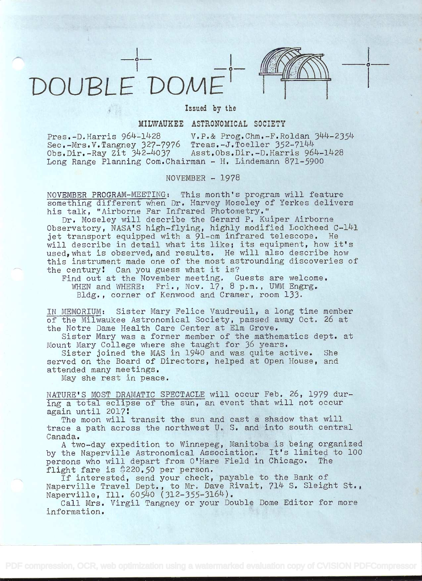



## Issued by the

## MILWAUKEE ASTRONOMICAL SOCIETY

Pres.-D.Harris 964-1428 <br>Sec.-Mrs.V.Tangney 327-7976 Treas.-J.Toeller 352-7144 Sec.-Mrs.V.Tangney 327-7976 Treas.-J.Toeller 352-7144<br>Obs.Dir.-Ray Zit 342-4037 Asst.Obs.Dir.-D.Harris 964-1428 Obs.Dir.-Ray Zit 342-4037 Long Range Planning Com.Chairman - H. Lindemann 871-5900

## NOVEMBER - 1978

NOVEMBER PROGRAM-MEETING: This month's program will feature something different when Dr. Harvey Moseley of Yerkes delivers his talk, "Airborne Far Infrared Photometry."

Dr. Moseley will describe the Gerard P. Kuiper Airborne Observatory, NASA'S high-flying, highly modified Lockheed C-141 jet transport equipped with a 91-cm infrared telescope. He will describe in detail what its like; its equipment, how it's used, what is observed, and results. He will also describe how this instrument made one of the most astrounding discoveries of the century! Can you guess what it is?

Find out at the November meeting. Guests are welcome. WHEN and WHERE: Fri., Nov. 17, 8 p.m., UWM Engrg. Bldg., corner of Kenwood and Cramer, room 133.

IN MEMORIUM: Sister Mary Felice Vaudreuil, a long time member of the Milwaukee Astronomical Society, passed away Oct. 26 at the Notre Dame Health Care Center at Elm Grove.

Sister Mary was a former member of the mathematics dept. at Mount Mary College where she taught for 36 years.

Sister joined the MAS in 1940 and was quite active. She served on the Board of Directors, helped at Open House, and attended many meetings.

May she rest in peace.

NATURE'S MOST DRAMATIC SPECTACLE will occur Feb. 26, 1979 dur- ing a total eclipse of the sun, an event that will not occur again until 2O17

The moon will transit the sun and cast a shadow that will trace a path across the northwest U. S. and into south central Canada.

A two-day expedition to Winnepeg, Manitoba is being organized by the Naperville Astronomical Association. It's limited to lOO persons who will depart from O'Hare Field in Chicago. The flight fare is \$220.50 per person.

If interested, send your check, payable to the Bank of Naperville Travel Dept., to Mr. Dave Rivait, 714 S. Sleight St., Naperville, Ill. 60540 (312-355-3164).

Call Mrs. Virgil Tangney or your Double Dome Editor for more information.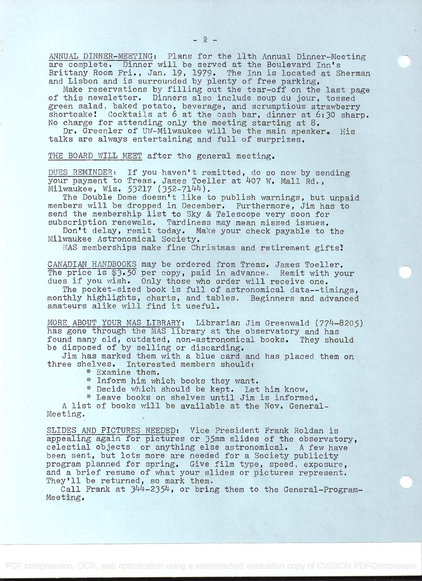ANNUAL DINNER-MEETING: Plans for the 11th Annual Dinner-Meeting are complete, Dinner will be served at the Boulevard Inn's Brittany Room Fri., Jan. 19, 1979. The Inn is located at Sherman and Lisbon and is surrounded by plenty of free parking,

Make reservations by filling out the tear-off on the last page of this newsletter. Dinners also include soup du jour, tossed green salad, baked potato, beverage, and scrumptious strawberry shortcake! Cocktails at 6 at the cash bar, dinner at 6:30 sharp. No charge for attending only the meeting starting at 8.

Dr. Greenler of UW-Milwaukee will be the main speaker. His talks are always entertaining and full of surprizes.

THE BOARD WILL MEET after the general meeting.

DUES REMINDER: If you haven't remitted, do so now by sending your payment to Treas. James Toeller at 407 W. Mall Rd., Milwaukee, Wis. 53217 (352-7144).

The Double Dome doesn't like to publish warnings, but unpaid members will be dropped in December. Furthermore, Jim has to send the membership list to Sky & Telescope very soon for subscription renewals, Tardiness may mean missed issues.

Don't delay, remit today. Make your check payable to the Milwaukee Astronomical Society.

MAS memberships make fine Christmas and retirement gifts!

CANADIAN HANDBOOKS may be ordered from Treas. James Toeller. The price is \$3.50 per copy, paid in advance. Remit with your dues if you wish. Only those who order will receive one.

The pocket-sized book is full of astronomical data--timings, monthly highlights, charts, and tables. Beginners and advanced amateurs alike will find it useful.

MORE ABOUT YOUR MAS LIBRARY: Librarian Jim Greenwald (774-8205) has gone through the MAS library at the observatory and has found many old, outdated, non-astronomical books. They should be disposed of by selling or discarding.

Jim has marked them with a blue card and has placed them on three shelves. Interested members should:

. \* Examine them.

\* Inform him which books they want.

\* Decide which should be kept. Let him know.

\* Leave books on shelves until Jim is informed.

A list of books will be available at the Nov. General-Meeting.

SLIDESAND PICTURES NEEDED: Vice President Frank Roldan is appealing again for pictures or 35mm slides of the observatory, celestial objects or anything else astronomical. A few have been sent, but lots more are needed for a Society publicity program planned for spring. Give film type, speed, exposure, and a brief resume of what your slides or pictures represent. They'll be returned, so mark them.

Call Frank at 344-2354, or bring them to the General-Program-Meeting.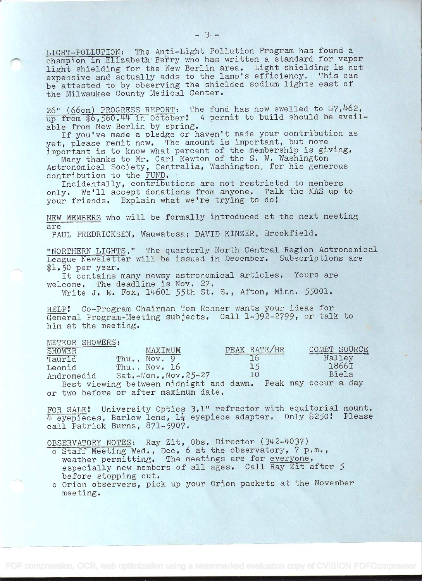LIGHT-POLLUTION: The Anti-Light Pollution Program has found a champion in Elizabeth Berry who has written a standard for vapor light shielding for the New Berlin area. Light shielding is not expensive and actually adds to the lamp's efficiency. This can be attested to by observing the shielded sodium lights east of the Milwaukee County Medical Center.

26" (66cm) PROGRESS REPORT: The fund has now swelled to  $\frac{4}{7}$ , 462, up from \$6,560.44 in October! A permit to build should be available from New Berlin by spring.

If you've made a pledge or haven't made your contribution as yet, please remit now. The amount is important, but more important is to know what percent of the membership is giving.

Many thanks to Mr, Carl Newton of the S. W. Washington Astronomical Society, Centralia, Washington, for his generous contribution to the FUND.

Incidentally, contributions are not restricted to members only. We'll accept donations from anyone. Talk the MAS up to your friends. Explain what we're trying to do

NEW MEMBERS who will be formally introduced at the next meeting are

PAUL FREDRICKSEN, Wauwatosa; DAVID KINZER, Brookfield.

"NORTHERN\_LIGHTS," The quarterly North Central Region Astronomical League Newsletter will be issued in December. Subscriptions are l.5O per year.

It contains many newsy astronomical articles. Yours are welcome. The deadline is Nov. 27.

Write J. H. Fox, 14601 55th St. S., Afton, Minn. 55001.

HELP! Co-Program Chairman Tom Renner wants your ideas for General Program-Meeting subjects. Call 1-392-2799, or talk to him at the meeting.

| METEOR SHOWERS: |  |
|-----------------|--|
|                 |  |

| SHOWER     | MAXTMUM                                 | PEAK RATE/HR | COMET SOURCE         |  |
|------------|-----------------------------------------|--------------|----------------------|--|
| Taurid     | Thu., Nov. 9                            |              | Halley               |  |
| Leonid     | Thu., Nov. 16                           | <b>15</b>    | 1866I                |  |
| Andromedid | $Sat. -Mon.$ , Nov. $25-27$             | 10           | Biela                |  |
|            | Best viewing between midnight and dawn. |              | Peak may occur a day |  |

or two before or after maximum date.

FOR SALE! University Optics 3.1" refractor with equitorial mount,  $\overline{4}$  eyepieces, Barlow lens,  $1\frac{1}{4}$  eyepiece adapter. Only \$250! Please call Patrick Burns, 871-5907.

OBSERVATORY NOTES: Ray Zit, Obs. Director (342-4037)

- o Staff Meeting Wed., Dec. 6 at the observatory, 7 p.m., weather permitting. The meetings are for everyone, especially new members of all ages. Call Ray Zit after 5 before stopping out.
- o Orion observers, pick up your Orion packets at the November meeting.